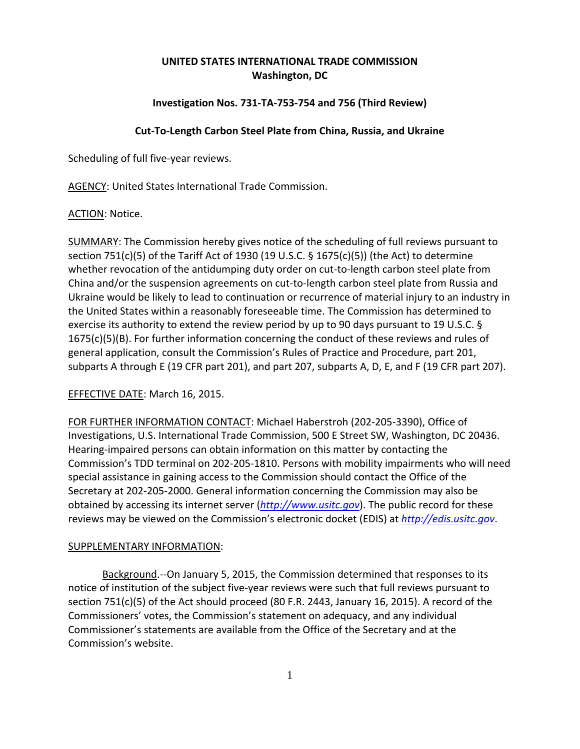# **UNITED STATES INTERNATIONAL TRADE COMMISSION Washington, DC**

## **Investigation Nos. 731‐TA‐753‐754 and 756 (Third Review)**

### **Cut‐To‐Length Carbon Steel Plate from China, Russia, and Ukraine**

Scheduling of full five‐year reviews.

AGENCY: United States International Trade Commission.

#### ACTION: Notice.

SUMMARY: The Commission hereby gives notice of the scheduling of full reviews pursuant to section 751(c)(5) of the Tariff Act of 1930 (19 U.S.C. § 1675(c)(5)) (the Act) to determine whether revocation of the antidumping duty order on cut-to-length carbon steel plate from China and/or the suspension agreements on cut‐to‐length carbon steel plate from Russia and Ukraine would be likely to lead to continuation or recurrence of material injury to an industry in the United States within a reasonably foreseeable time. The Commission has determined to exercise its authority to extend the review period by up to 90 days pursuant to 19 U.S.C. § 1675(c)(5)(B). For further information concerning the conduct of these reviews and rules of general application, consult the Commission's Rules of Practice and Procedure, part 201, subparts A through E (19 CFR part 201), and part 207, subparts A, D, E, and F (19 CFR part 207).

## EFFECTIVE DATE: March 16, 2015.

FOR FURTHER INFORMATION CONTACT: Michael Haberstroh (202‐205‐3390), Office of Investigations, U.S. International Trade Commission, 500 E Street SW, Washington, DC 20436. Hearing‐impaired persons can obtain information on this matter by contacting the Commission's TDD terminal on 202‐205‐1810. Persons with mobility impairments who will need special assistance in gaining access to the Commission should contact the Office of the Secretary at 202‐205‐2000. General information concerning the Commission may also be obtained by accessing its internet server (*http://www.usitc.gov*). The public record for these reviews may be viewed on the Commission's electronic docket (EDIS) at *http://edis.usitc.gov*.

#### SUPPLEMENTARY INFORMATION:

Background.‐‐On January 5, 2015, the Commission determined that responses to its notice of institution of the subject five‐year reviews were such that full reviews pursuant to section 751(c)(5) of the Act should proceed (80 F.R. 2443, January 16, 2015). A record of the Commissioners' votes, the Commission's statement on adequacy, and any individual Commissioner's statements are available from the Office of the Secretary and at the Commission's website.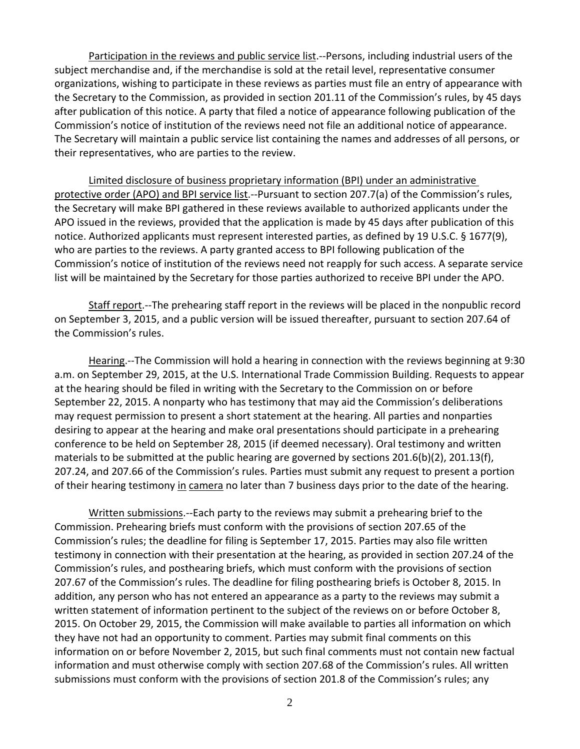Participation in the reviews and public service list.‐‐Persons, including industrial users of the subject merchandise and, if the merchandise is sold at the retail level, representative consumer organizations, wishing to participate in these reviews as parties must file an entry of appearance with the Secretary to the Commission, as provided in section 201.11 of the Commission's rules, by 45 days after publication of this notice. A party that filed a notice of appearance following publication of the Commission's notice of institution of the reviews need not file an additional notice of appearance. The Secretary will maintain a public service list containing the names and addresses of all persons, or their representatives, who are parties to the review.

Limited disclosure of business proprietary information (BPI) under an administrative protective order (APO) and BPI service list.--Pursuant to section 207.7(a) of the Commission's rules, the Secretary will make BPI gathered in these reviews available to authorized applicants under the APO issued in the reviews, provided that the application is made by 45 days after publication of this notice. Authorized applicants must represent interested parties, as defined by 19 U.S.C. § 1677(9), who are parties to the reviews. A party granted access to BPI following publication of the Commission's notice of institution of the reviews need not reapply for such access. A separate service list will be maintained by the Secretary for those parties authorized to receive BPI under the APO.

Staff report.—The prehearing staff report in the reviews will be placed in the nonpublic record on September 3, 2015, and a public version will be issued thereafter, pursuant to section 207.64 of the Commission's rules.

Hearing.‐‐The Commission will hold a hearing in connection with the reviews beginning at 9:30 a.m. on September 29, 2015, at the U.S. International Trade Commission Building. Requests to appear at the hearing should be filed in writing with the Secretary to the Commission on or before September 22, 2015. A nonparty who has testimony that may aid the Commission's deliberations may request permission to present a short statement at the hearing. All parties and nonparties desiring to appear at the hearing and make oral presentations should participate in a prehearing conference to be held on September 28, 2015 (if deemed necessary). Oral testimony and written materials to be submitted at the public hearing are governed by sections 201.6(b)(2), 201.13(f), 207.24, and 207.66 of the Commission's rules. Parties must submit any request to present a portion of their hearing testimony in camera no later than 7 business days prior to the date of the hearing.

Written submissions.--Each party to the reviews may submit a prehearing brief to the Commission. Prehearing briefs must conform with the provisions of section 207.65 of the Commission's rules; the deadline for filing is September 17, 2015. Parties may also file written testimony in connection with their presentation at the hearing, as provided in section 207.24 of the Commission's rules, and posthearing briefs, which must conform with the provisions of section 207.67 of the Commission's rules. The deadline for filing posthearing briefs is October 8, 2015. In addition, any person who has not entered an appearance as a party to the reviews may submit a written statement of information pertinent to the subject of the reviews on or before October 8, 2015. On October 29, 2015, the Commission will make available to parties all information on which they have not had an opportunity to comment. Parties may submit final comments on this information on or before November 2, 2015, but such final comments must not contain new factual information and must otherwise comply with section 207.68 of the Commission's rules. All written submissions must conform with the provisions of section 201.8 of the Commission's rules; any